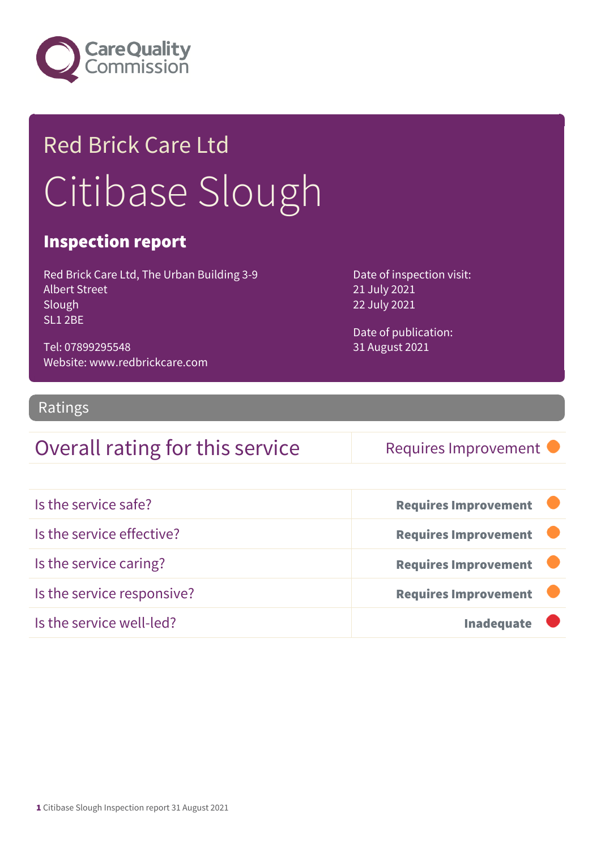

# Red Brick Care Ltd Citibase Slough

### Inspection report

Red Brick Care Ltd, The Urban Building 3-9 Albert Street Slough SL1 2BE

Tel: 07899295548 Website: www.redbrickcare.com Date of inspection visit: 21 July 2021 22 July 2021

Date of publication: 31 August 2021

### Ratings

### Overall rating for this service Requires Improvement

| Is the service safe?       | <b>Requires Improvement</b> |
|----------------------------|-----------------------------|
| Is the service effective?  | <b>Requires Improvement</b> |
| Is the service caring?     | <b>Requires Improvement</b> |
| Is the service responsive? | <b>Requires Improvement</b> |
| Is the service well-led?   | <b>Inadequate</b>           |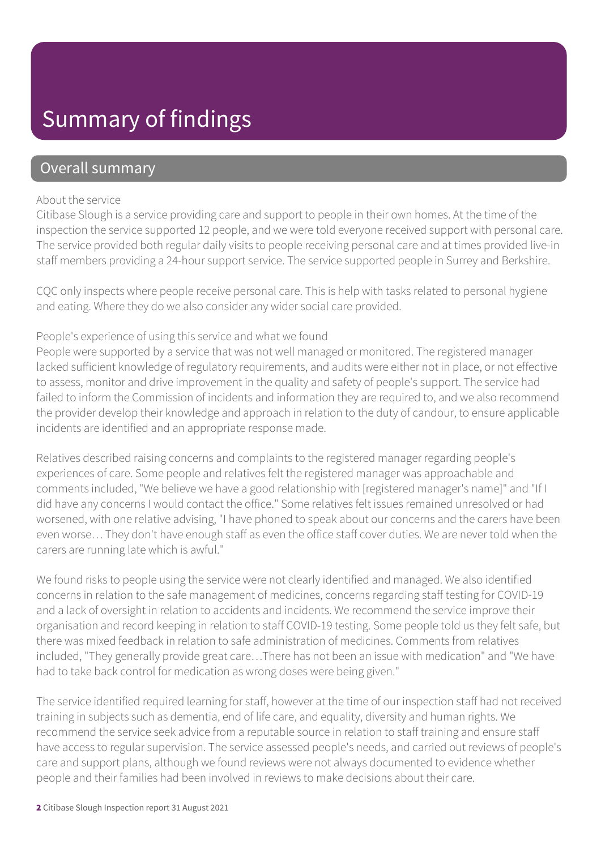# Summary of findings

### Overall summary

#### About the service

Citibase Slough is a service providing care and support to people in their own homes. At the time of the inspection the service supported 12 people, and we were told everyone received support with personal care. The service provided both regular daily visits to people receiving personal care and at times provided live-in staff members providing a 24-hour support service. The service supported people in Surrey and Berkshire.

CQC only inspects where people receive personal care. This is help with tasks related to personal hygiene and eating. Where they do we also consider any wider social care provided.

#### People's experience of using this service and what we found

People were supported by a service that was not well managed or monitored. The registered manager lacked sufficient knowledge of regulatory requirements, and audits were either not in place, or not effective to assess, monitor and drive improvement in the quality and safety of people's support. The service had failed to inform the Commission of incidents and information they are required to, and we also recommend the provider develop their knowledge and approach in relation to the duty of candour, to ensure applicable incidents are identified and an appropriate response made.

Relatives described raising concerns and complaints to the registered manager regarding people's experiences of care. Some people and relatives felt the registered manager was approachable and comments included, "We believe we have a good relationship with [registered manager's name]" and "If I did have any concerns I would contact the office." Some relatives felt issues remained unresolved or had worsened, with one relative advising, "I have phoned to speak about our concerns and the carers have been even worse… They don't have enough staff as even the office staff cover duties. We are never told when the carers are running late which is awful."

We found risks to people using the service were not clearly identified and managed. We also identified concerns in relation to the safe management of medicines, concerns regarding staff testing for COVID-19 and a lack of oversight in relation to accidents and incidents. We recommend the service improve their organisation and record keeping in relation to staff COVID-19 testing. Some people told us they felt safe, but there was mixed feedback in relation to safe administration of medicines. Comments from relatives included, "They generally provide great care…There has not been an issue with medication" and "We have had to take back control for medication as wrong doses were being given."

The service identified required learning for staff, however at the time of our inspection staff had not received training in subjects such as dementia, end of life care, and equality, diversity and human rights. We recommend the service seek advice from a reputable source in relation to staff training and ensure staff have access to regular supervision. The service assessed people's needs, and carried out reviews of people's care and support plans, although we found reviews were not always documented to evidence whether people and their families had been involved in reviews to make decisions about their care.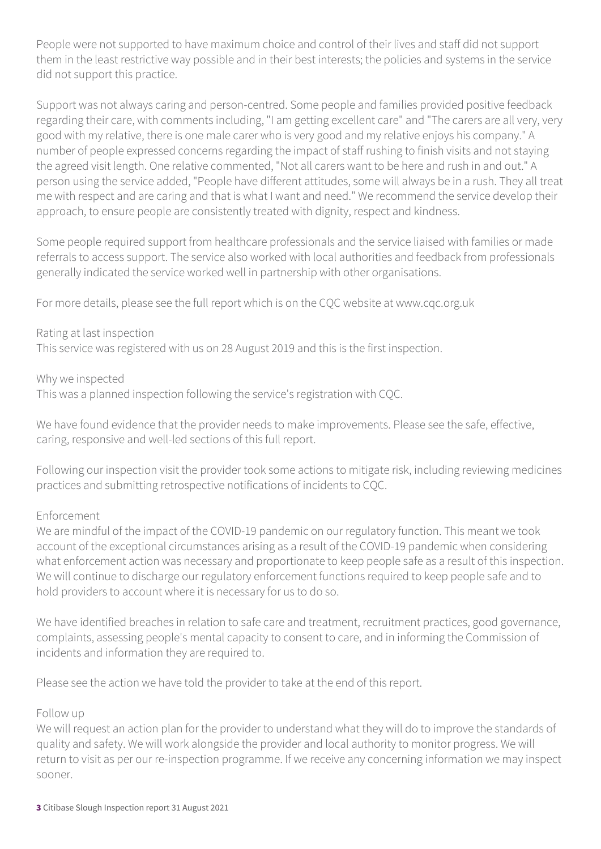People were not supported to have maximum choice and control of their lives and staff did not support them in the least restrictive way possible and in their best interests; the policies and systems in the service did not support this practice.

Support was not always caring and person-centred. Some people and families provided positive feedback regarding their care, with comments including, "I am getting excellent care" and "The carers are all very, very good with my relative, there is one male carer who is very good and my relative enjoys his company." A number of people expressed concerns regarding the impact of staff rushing to finish visits and not staying the agreed visit length. One relative commented, "Not all carers want to be here and rush in and out." A person using the service added, "People have different attitudes, some will always be in a rush. They all treat me with respect and are caring and that is what I want and need." We recommend the service develop their approach, to ensure people are consistently treated with dignity, respect and kindness.

Some people required support from healthcare professionals and the service liaised with families or made referrals to access support. The service also worked with local authorities and feedback from professionals generally indicated the service worked well in partnership with other organisations.

For more details, please see the full report which is on the CQC website at www.cqc.org.uk

Rating at last inspection

This service was registered with us on 28 August 2019 and this is the first inspection.

Why we inspected

This was a planned inspection following the service's registration with CQC.

We have found evidence that the provider needs to make improvements. Please see the safe, effective, caring, responsive and well-led sections of this full report.

Following our inspection visit the provider took some actions to mitigate risk, including reviewing medicines practices and submitting retrospective notifications of incidents to CQC.

#### Enforcement

We are mindful of the impact of the COVID-19 pandemic on our regulatory function. This meant we took account of the exceptional circumstances arising as a result of the COVID-19 pandemic when considering what enforcement action was necessary and proportionate to keep people safe as a result of this inspection. We will continue to discharge our regulatory enforcement functions required to keep people safe and to hold providers to account where it is necessary for us to do so.

We have identified breaches in relation to safe care and treatment, recruitment practices, good governance, complaints, assessing people's mental capacity to consent to care, and in informing the Commission of incidents and information they are required to.

Please see the action we have told the provider to take at the end of this report.

#### Follow up

We will request an action plan for the provider to understand what they will do to improve the standards of quality and safety. We will work alongside the provider and local authority to monitor progress. We will return to visit as per our re-inspection programme. If we receive any concerning information we may inspect sooner.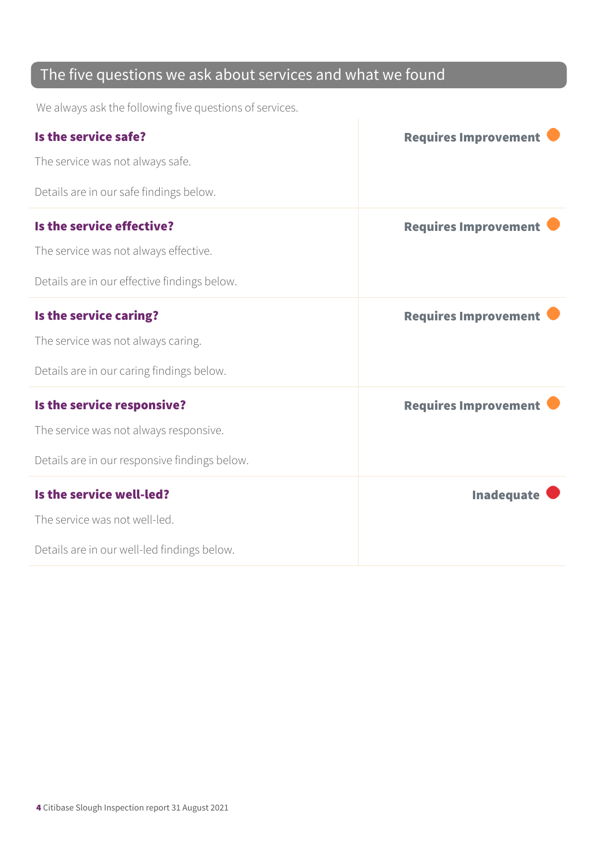### The five questions we ask about services and what we found

We always ask the following five questions of services.

| Is the service safe?                          | <b>Requires Improvement</b> |
|-----------------------------------------------|-----------------------------|
| The service was not always safe.              |                             |
| Details are in our safe findings below.       |                             |
| Is the service effective?                     | <b>Requires Improvement</b> |
| The service was not always effective.         |                             |
| Details are in our effective findings below.  |                             |
| Is the service caring?                        | <b>Requires Improvement</b> |
| The service was not always caring.            |                             |
| Details are in our caring findings below.     |                             |
| Is the service responsive?                    | <b>Requires Improvement</b> |
| The service was not always responsive.        |                             |
| Details are in our responsive findings below. |                             |
| Is the service well-led?                      | <b>Inadequate</b>           |
| The service was not well-led.                 |                             |
| Details are in our well-led findings below.   |                             |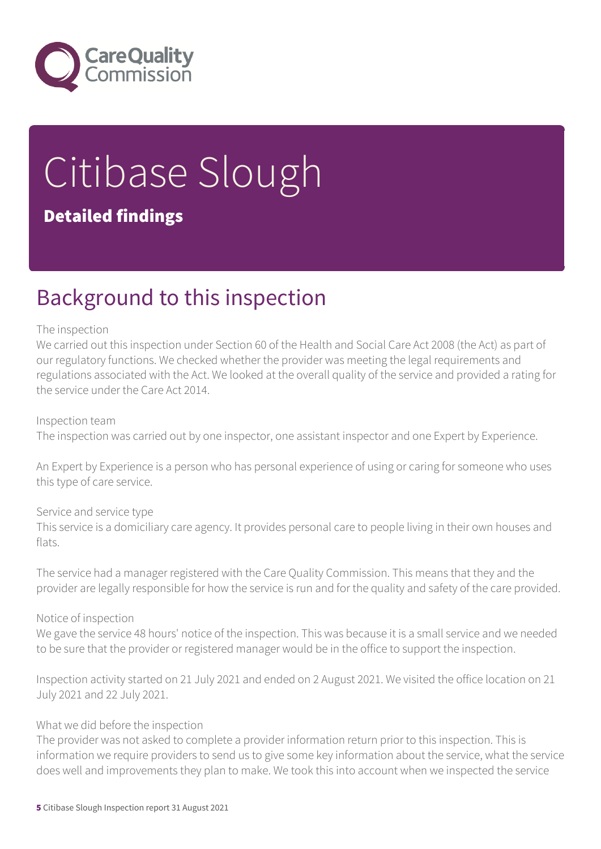

# Citibase Slough Detailed findings

# Background to this inspection

#### The inspection

We carried out this inspection under Section 60 of the Health and Social Care Act 2008 (the Act) as part of our regulatory functions. We checked whether the provider was meeting the legal requirements and regulations associated with the Act. We looked at the overall quality of the service and provided a rating for the service under the Care Act 2014.

#### Inspection team

The inspection was carried out by one inspector, one assistant inspector and one Expert by Experience.

An Expert by Experience is a person who has personal experience of using or caring for someone who uses this type of care service.

#### Service and service type

This service is a domiciliary care agency. It provides personal care to people living in their own houses and flats.

The service had a manager registered with the Care Quality Commission. This means that they and the provider are legally responsible for how the service is run and for the quality and safety of the care provided.

#### Notice of inspection

We gave the service 48 hours' notice of the inspection. This was because it is a small service and we needed to be sure that the provider or registered manager would be in the office to support the inspection.

Inspection activity started on 21 July 2021 and ended on 2 August 2021. We visited the office location on 21 July 2021 and 22 July 2021.

#### What we did before the inspection

The provider was not asked to complete a provider information return prior to this inspection. This is information we require providers to send us to give some key information about the service, what the service does well and improvements they plan to make. We took this into account when we inspected the service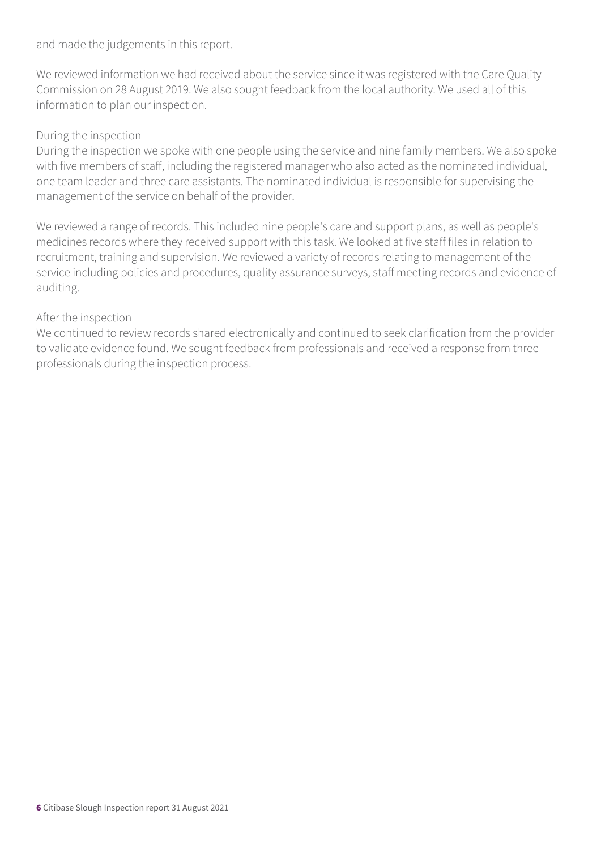and made the judgements in this report.

We reviewed information we had received about the service since it was registered with the Care Quality Commission on 28 August 2019. We also sought feedback from the local authority. We used all of this information to plan our inspection.

#### During the inspection

During the inspection we spoke with one people using the service and nine family members. We also spoke with five members of staff, including the registered manager who also acted as the nominated individual, one team leader and three care assistants. The nominated individual is responsible for supervising the management of the service on behalf of the provider.

We reviewed a range of records. This included nine people's care and support plans, as well as people's medicines records where they received support with this task. We looked at five staff files in relation to recruitment, training and supervision. We reviewed a variety of records relating to management of the service including policies and procedures, quality assurance surveys, staff meeting records and evidence of auditing.

#### After the inspection

We continued to review records shared electronically and continued to seek clarification from the provider to validate evidence found. We sought feedback from professionals and received a response from three professionals during the inspection process.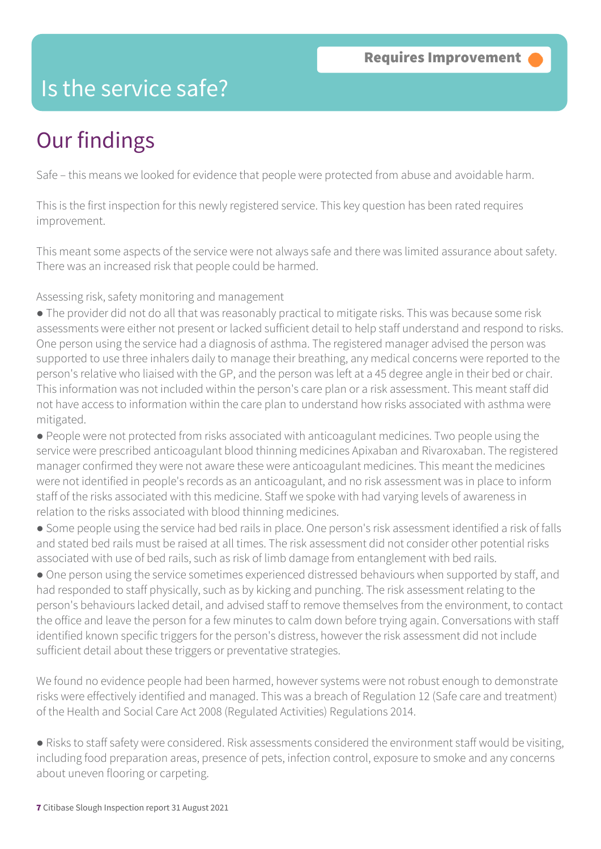### Is the service safe?

# Our findings

Safe – this means we looked for evidence that people were protected from abuse and avoidable harm.

This is the first inspection for this newly registered service. This key question has been rated requires improvement.

This meant some aspects of the service were not always safe and there was limited assurance about safety. There was an increased risk that people could be harmed.

Assessing risk, safety monitoring and management

● The provider did not do all that was reasonably practical to mitigate risks. This was because some risk assessments were either not present or lacked sufficient detail to help staff understand and respond to risks. One person using the service had a diagnosis of asthma. The registered manager advised the person was supported to use three inhalers daily to manage their breathing, any medical concerns were reported to the person's relative who liaised with the GP, and the person was left at a 45 degree angle in their bed or chair. This information was not included within the person's care plan or a risk assessment. This meant staff did not have access to information within the care plan to understand how risks associated with asthma were mitigated.

● People were not protected from risks associated with anticoagulant medicines. Two people using the service were prescribed anticoagulant blood thinning medicines Apixaban and Rivaroxaban. The registered manager confirmed they were not aware these were anticoagulant medicines. This meant the medicines were not identified in people's records as an anticoagulant, and no risk assessment was in place to inform staff of the risks associated with this medicine. Staff we spoke with had varying levels of awareness in relation to the risks associated with blood thinning medicines.

- Some people using the service had bed rails in place. One person's risk assessment identified a risk of falls and stated bed rails must be raised at all times. The risk assessment did not consider other potential risks associated with use of bed rails, such as risk of limb damage from entanglement with bed rails.
- One person using the service sometimes experienced distressed behaviours when supported by staff, and had responded to staff physically, such as by kicking and punching. The risk assessment relating to the person's behaviours lacked detail, and advised staff to remove themselves from the environment, to contact the office and leave the person for a few minutes to calm down before trying again. Conversations with staff identified known specific triggers for the person's distress, however the risk assessment did not include sufficient detail about these triggers or preventative strategies.

We found no evidence people had been harmed, however systems were not robust enough to demonstrate risks were effectively identified and managed. This was a breach of Regulation 12 (Safe care and treatment) of the Health and Social Care Act 2008 (Regulated Activities) Regulations 2014.

● Risks to staff safety were considered. Risk assessments considered the environment staff would be visiting, including food preparation areas, presence of pets, infection control, exposure to smoke and any concerns about uneven flooring or carpeting.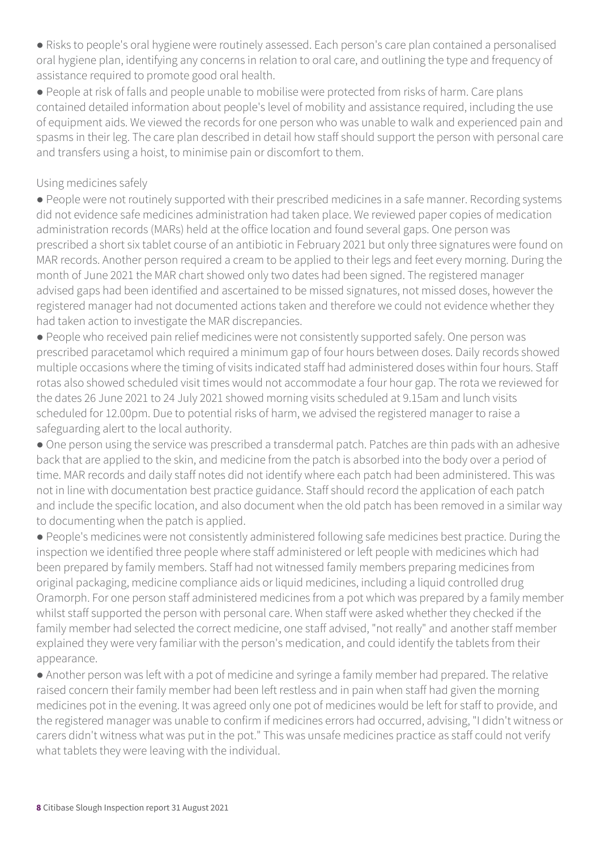● Risks to people's oral hygiene were routinely assessed. Each person's care plan contained a personalised oral hygiene plan, identifying any concerns in relation to oral care, and outlining the type and frequency of assistance required to promote good oral health.

● People at risk of falls and people unable to mobilise were protected from risks of harm. Care plans contained detailed information about people's level of mobility and assistance required, including the use of equipment aids. We viewed the records for one person who was unable to walk and experienced pain and spasms in their leg. The care plan described in detail how staff should support the person with personal care and transfers using a hoist, to minimise pain or discomfort to them.

#### Using medicines safely

● People were not routinely supported with their prescribed medicines in a safe manner. Recording systems did not evidence safe medicines administration had taken place. We reviewed paper copies of medication administration records (MARs) held at the office location and found several gaps. One person was prescribed a short six tablet course of an antibiotic in February 2021 but only three signatures were found on MAR records. Another person required a cream to be applied to their legs and feet every morning. During the month of June 2021 the MAR chart showed only two dates had been signed. The registered manager advised gaps had been identified and ascertained to be missed signatures, not missed doses, however the registered manager had not documented actions taken and therefore we could not evidence whether they had taken action to investigate the MAR discrepancies.

● People who received pain relief medicines were not consistently supported safely. One person was prescribed paracetamol which required a minimum gap of four hours between doses. Daily records showed multiple occasions where the timing of visits indicated staff had administered doses within four hours. Staff rotas also showed scheduled visit times would not accommodate a four hour gap. The rota we reviewed for the dates 26 June 2021 to 24 July 2021 showed morning visits scheduled at 9.15am and lunch visits scheduled for 12.00pm. Due to potential risks of harm, we advised the registered manager to raise a safeguarding alert to the local authority.

● One person using the service was prescribed a transdermal patch. Patches are thin pads with an adhesive back that are applied to the skin, and medicine from the patch is absorbed into the body over a period of time. MAR records and daily staff notes did not identify where each patch had been administered. This was not in line with documentation best practice guidance. Staff should record the application of each patch and include the specific location, and also document when the old patch has been removed in a similar way to documenting when the patch is applied.

● People's medicines were not consistently administered following safe medicines best practice. During the inspection we identified three people where staff administered or left people with medicines which had been prepared by family members. Staff had not witnessed family members preparing medicines from original packaging, medicine compliance aids or liquid medicines, including a liquid controlled drug Oramorph. For one person staff administered medicines from a pot which was prepared by a family member whilst staff supported the person with personal care. When staff were asked whether they checked if the family member had selected the correct medicine, one staff advised, "not really" and another staff member explained they were very familiar with the person's medication, and could identify the tablets from their appearance.

● Another person was left with a pot of medicine and syringe a family member had prepared. The relative raised concern their family member had been left restless and in pain when staff had given the morning medicines pot in the evening. It was agreed only one pot of medicines would be left for staff to provide, and the registered manager was unable to confirm if medicines errors had occurred, advising, "I didn't witness or carers didn't witness what was put in the pot." This was unsafe medicines practice as staff could not verify what tablets they were leaving with the individual.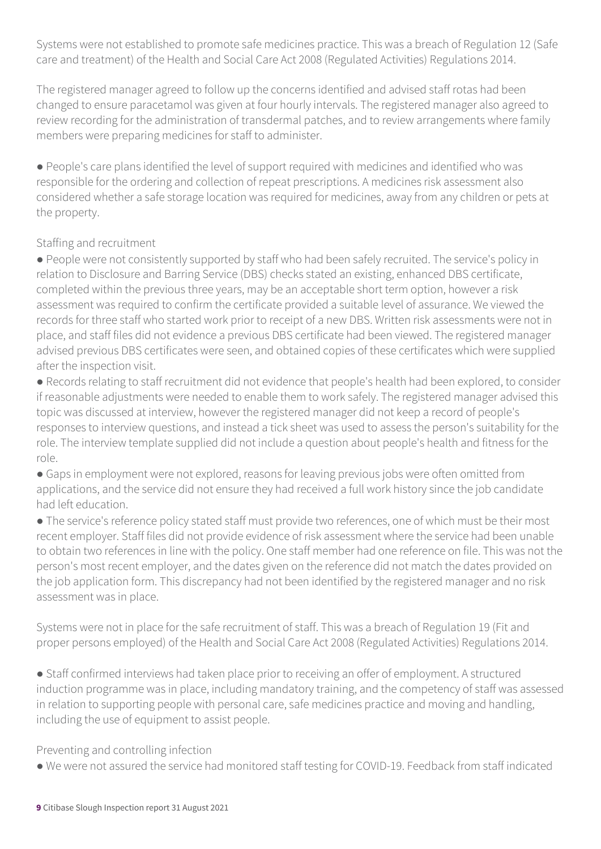Systems were not established to promote safe medicines practice. This was a breach of Regulation 12 (Safe care and treatment) of the Health and Social Care Act 2008 (Regulated Activities) Regulations 2014.

The registered manager agreed to follow up the concerns identified and advised staff rotas had been changed to ensure paracetamol was given at four hourly intervals. The registered manager also agreed to review recording for the administration of transdermal patches, and to review arrangements where family members were preparing medicines for staff to administer.

● People's care plans identified the level of support required with medicines and identified who was responsible for the ordering and collection of repeat prescriptions. A medicines risk assessment also considered whether a safe storage location was required for medicines, away from any children or pets at the property.

### Staffing and recruitment

● People were not consistently supported by staff who had been safely recruited. The service's policy in relation to Disclosure and Barring Service (DBS) checks stated an existing, enhanced DBS certificate, completed within the previous three years, may be an acceptable short term option, however a risk assessment was required to confirm the certificate provided a suitable level of assurance. We viewed the records for three staff who started work prior to receipt of a new DBS. Written risk assessments were not in place, and staff files did not evidence a previous DBS certificate had been viewed. The registered manager advised previous DBS certificates were seen, and obtained copies of these certificates which were supplied after the inspection visit.

● Records relating to staff recruitment did not evidence that people's health had been explored, to consider if reasonable adjustments were needed to enable them to work safely. The registered manager advised this topic was discussed at interview, however the registered manager did not keep a record of people's responses to interview questions, and instead a tick sheet was used to assess the person's suitability for the role. The interview template supplied did not include a question about people's health and fitness for the role.

• Gaps in employment were not explored, reasons for leaving previous jobs were often omitted from applications, and the service did not ensure they had received a full work history since the job candidate had left education.

● The service's reference policy stated staff must provide two references, one of which must be their most recent employer. Staff files did not provide evidence of risk assessment where the service had been unable to obtain two references in line with the policy. One staff member had one reference on file. This was not the person's most recent employer, and the dates given on the reference did not match the dates provided on the job application form. This discrepancy had not been identified by the registered manager and no risk assessment was in place.

Systems were not in place for the safe recruitment of staff. This was a breach of Regulation 19 (Fit and proper persons employed) of the Health and Social Care Act 2008 (Regulated Activities) Regulations 2014.

● Staff confirmed interviews had taken place prior to receiving an offer of employment. A structured induction programme was in place, including mandatory training, and the competency of staff was assessed in relation to supporting people with personal care, safe medicines practice and moving and handling, including the use of equipment to assist people.

Preventing and controlling infection

● We were not assured the service had monitored staff testing for COVID-19. Feedback from staff indicated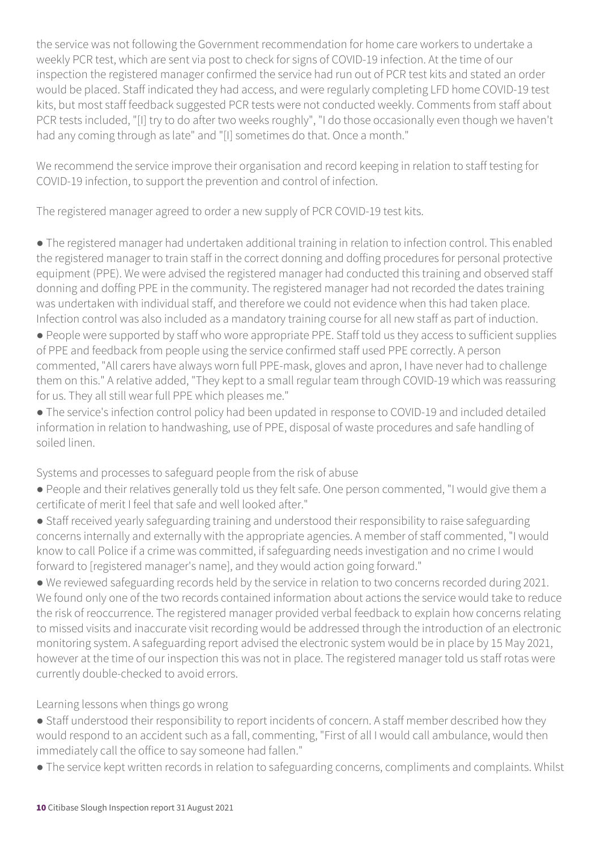the service was not following the Government recommendation for home care workers to undertake a weekly PCR test, which are sent via post to check for signs of COVID-19 infection. At the time of our inspection the registered manager confirmed the service had run out of PCR test kits and stated an order would be placed. Staff indicated they had access, and were regularly completing LFD home COVID-19 test kits, but most staff feedback suggested PCR tests were not conducted weekly. Comments from staff about PCR tests included, "[I] try to do after two weeks roughly", "I do those occasionally even though we haven't had any coming through as late" and "[I] sometimes do that. Once a month."

We recommend the service improve their organisation and record keeping in relation to staff testing for COVID-19 infection, to support the prevention and control of infection.

The registered manager agreed to order a new supply of PCR COVID-19 test kits.

● The registered manager had undertaken additional training in relation to infection control. This enabled the registered manager to train staff in the correct donning and doffing procedures for personal protective equipment (PPE). We were advised the registered manager had conducted this training and observed staff donning and doffing PPE in the community. The registered manager had not recorded the dates training was undertaken with individual staff, and therefore we could not evidence when this had taken place. Infection control was also included as a mandatory training course for all new staff as part of induction.

● People were supported by staff who wore appropriate PPE. Staff told us they access to sufficient supplies of PPE and feedback from people using the service confirmed staff used PPE correctly. A person commented, "All carers have always worn full PPE-mask, gloves and apron, I have never had to challenge them on this." A relative added, "They kept to a small regular team through COVID-19 which was reassuring for us. They all still wear full PPE which pleases me."

● The service's infection control policy had been updated in response to COVID-19 and included detailed information in relation to handwashing, use of PPE, disposal of waste procedures and safe handling of soiled linen.

Systems and processes to safeguard people from the risk of abuse

- People and their relatives generally told us they felt safe. One person commented, "I would give them a certificate of merit I feel that safe and well looked after."
- Staff received yearly safeguarding training and understood their responsibility to raise safeguarding concerns internally and externally with the appropriate agencies. A member of staff commented, "I would know to call Police if a crime was committed, if safeguarding needs investigation and no crime I would forward to [registered manager's name], and they would action going forward."

● We reviewed safeguarding records held by the service in relation to two concerns recorded during 2021. We found only one of the two records contained information about actions the service would take to reduce the risk of reoccurrence. The registered manager provided verbal feedback to explain how concerns relating to missed visits and inaccurate visit recording would be addressed through the introduction of an electronic monitoring system. A safeguarding report advised the electronic system would be in place by 15 May 2021, however at the time of our inspection this was not in place. The registered manager told us staff rotas were currently double-checked to avoid errors.

Learning lessons when things go wrong

- Staff understood their responsibility to report incidents of concern. A staff member described how they would respond to an accident such as a fall, commenting, "First of all I would call ambulance, would then immediately call the office to say someone had fallen."
- The service kept written records in relation to safeguarding concerns, compliments and complaints. Whilst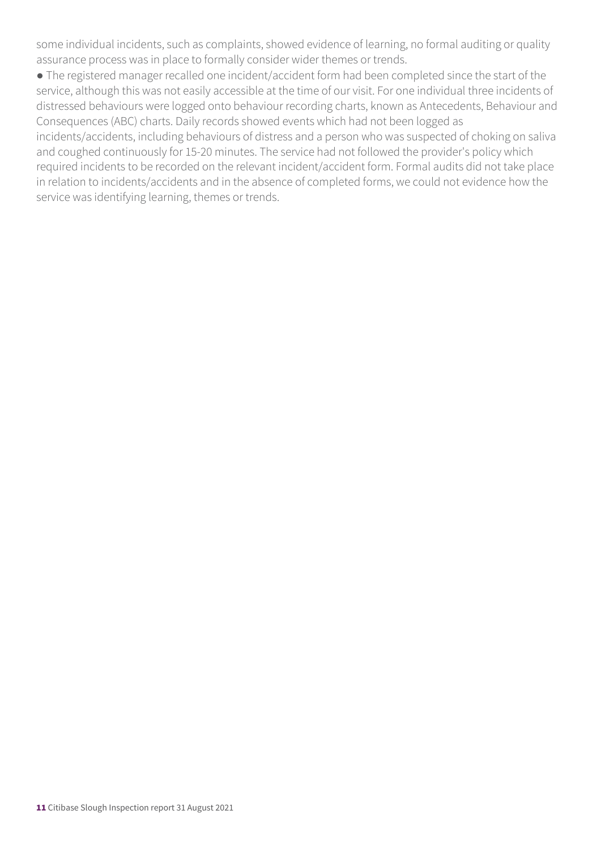some individual incidents, such as complaints, showed evidence of learning, no formal auditing or quality assurance process was in place to formally consider wider themes or trends.

● The registered manager recalled one incident/accident form had been completed since the start of the service, although this was not easily accessible at the time of our visit. For one individual three incidents of distressed behaviours were logged onto behaviour recording charts, known as Antecedents, Behaviour and Consequences (ABC) charts. Daily records showed events which had not been logged as incidents/accidents, including behaviours of distress and a person who was suspected of choking on saliva and coughed continuously for 15-20 minutes. The service had not followed the provider's policy which required incidents to be recorded on the relevant incident/accident form. Formal audits did not take place in relation to incidents/accidents and in the absence of completed forms, we could not evidence how the service was identifying learning, themes or trends.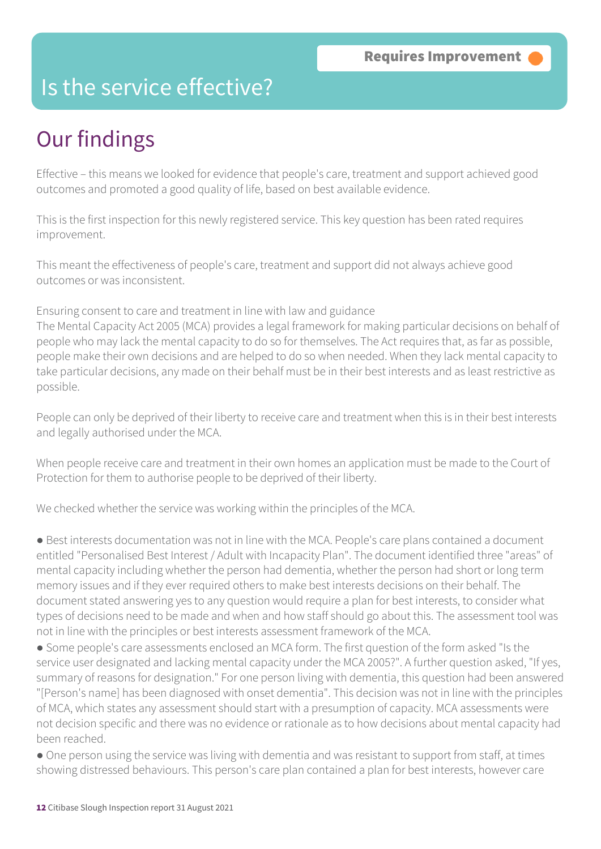### Is the service effective?

# Our findings

Effective – this means we looked for evidence that people's care, treatment and support achieved good outcomes and promoted a good quality of life, based on best available evidence.

This is the first inspection for this newly registered service. This key question has been rated requires improvement.

This meant the effectiveness of people's care, treatment and support did not always achieve good outcomes or was inconsistent.

Ensuring consent to care and treatment in line with law and guidance

The Mental Capacity Act 2005 (MCA) provides a legal framework for making particular decisions on behalf of people who may lack the mental capacity to do so for themselves. The Act requires that, as far as possible, people make their own decisions and are helped to do so when needed. When they lack mental capacity to take particular decisions, any made on their behalf must be in their best interests and as least restrictive as possible.

People can only be deprived of their liberty to receive care and treatment when this is in their best interests and legally authorised under the MCA.

When people receive care and treatment in their own homes an application must be made to the Court of Protection for them to authorise people to be deprived of their liberty.

We checked whether the service was working within the principles of the MCA.

● Best interests documentation was not in line with the MCA. People's care plans contained a document entitled "Personalised Best Interest / Adult with Incapacity Plan". The document identified three "areas" of mental capacity including whether the person had dementia, whether the person had short or long term memory issues and if they ever required others to make best interests decisions on their behalf. The document stated answering yes to any question would require a plan for best interests, to consider what types of decisions need to be made and when and how staff should go about this. The assessment tool was not in line with the principles or best interests assessment framework of the MCA.

● Some people's care assessments enclosed an MCA form. The first question of the form asked "Is the service user designated and lacking mental capacity under the MCA 2005?". A further question asked, "If yes, summary of reasons for designation." For one person living with dementia, this question had been answered "[Person's name] has been diagnosed with onset dementia". This decision was not in line with the principles of MCA, which states any assessment should start with a presumption of capacity. MCA assessments were not decision specific and there was no evidence or rationale as to how decisions about mental capacity had been reached.

• One person using the service was living with dementia and was resistant to support from staff, at times showing distressed behaviours. This person's care plan contained a plan for best interests, however care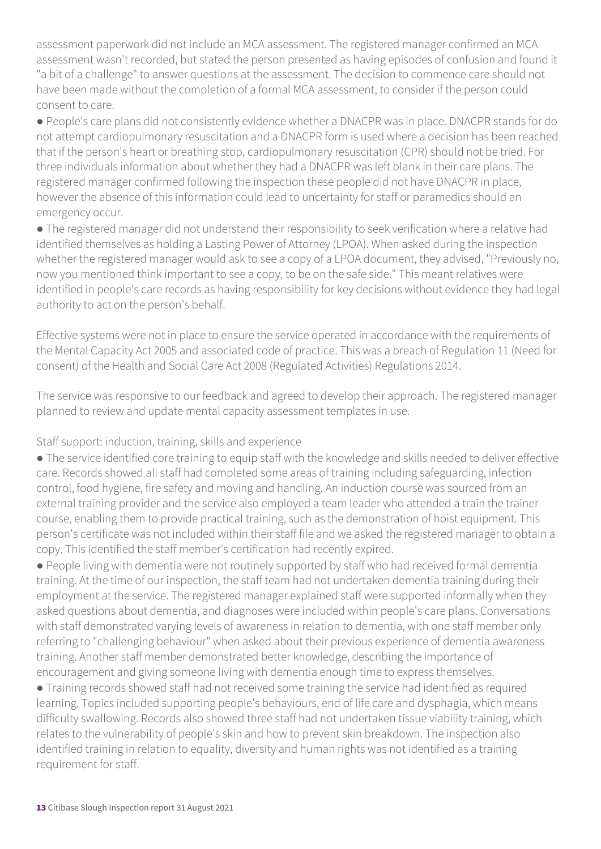assessment paperwork did not include an MCA assessment. The registered manager confirmed an MCA assessment wasn't recorded, but stated the person presented as having episodes of confusion and found it "a bit of a challenge" to answer questions at the assessment. The decision to commence care should not have been made without the completion of a formal MCA assessment, to consider if the person could consent to care.

● People's care plans did not consistently evidence whether a DNACPR was in place. DNACPR stands for do not attempt cardiopulmonary resuscitation and a DNACPR form is used where a decision has been reached that if the person's heart or breathing stop, cardiopulmonary resuscitation (CPR) should not be tried. For three individuals information about whether they had a DNACPR was left blank in their care plans. The registered manager confirmed following the inspection these people did not have DNACPR in place, however the absence of this information could lead to uncertainty for staff or paramedics should an emergency occur.

● The registered manager did not understand their responsibility to seek verification where a relative had identified themselves as holding a Lasting Power of Attorney (LPOA). When asked during the inspection whether the registered manager would ask to see a copy of a LPOA document, they advised, "Previously no, now you mentioned think important to see a copy, to be on the safe side." This meant relatives were identified in people's care records as having responsibility for key decisions without evidence they had legal authority to act on the person's behalf.

Effective systems were not in place to ensure the service operated in accordance with the requirements of the Mental Capacity Act 2005 and associated code of practice. This was a breach of Regulation 11 (Need for consent) of the Health and Social Care Act 2008 (Regulated Activities) Regulations 2014.

The service was responsive to our feedback and agreed to develop their approach. The registered manager planned to review and update mental capacity assessment templates in use.

### Staff support: induction, training, skills and experience

● The service identified core training to equip staff with the knowledge and skills needed to deliver effective care. Records showed all staff had completed some areas of training including safeguarding, infection control, food hygiene, fire safety and moving and handling. An induction course was sourced from an external training provider and the service also employed a team leader who attended a train the trainer course, enabling them to provide practical training, such as the demonstration of hoist equipment. This person's certificate was not included within their staff file and we asked the registered manager to obtain a copy. This identified the staff member's certification had recently expired.

● People living with dementia were not routinely supported by staff who had received formal dementia training. At the time of our inspection, the staff team had not undertaken dementia training during their employment at the service. The registered manager explained staff were supported informally when they asked questions about dementia, and diagnoses were included within people's care plans. Conversations with staff demonstrated varying levels of awareness in relation to dementia, with one staff member only referring to "challenging behaviour" when asked about their previous experience of dementia awareness training. Another staff member demonstrated better knowledge, describing the importance of encouragement and giving someone living with dementia enough time to express themselves.

● Training records showed staff had not received some training the service had identified as required learning. Topics included supporting people's behaviours, end of life care and dysphagia, which means difficulty swallowing. Records also showed three staff had not undertaken tissue viability training, which relates to the vulnerability of people's skin and how to prevent skin breakdown. The inspection also identified training in relation to equality, diversity and human rights was not identified as a training requirement for staff.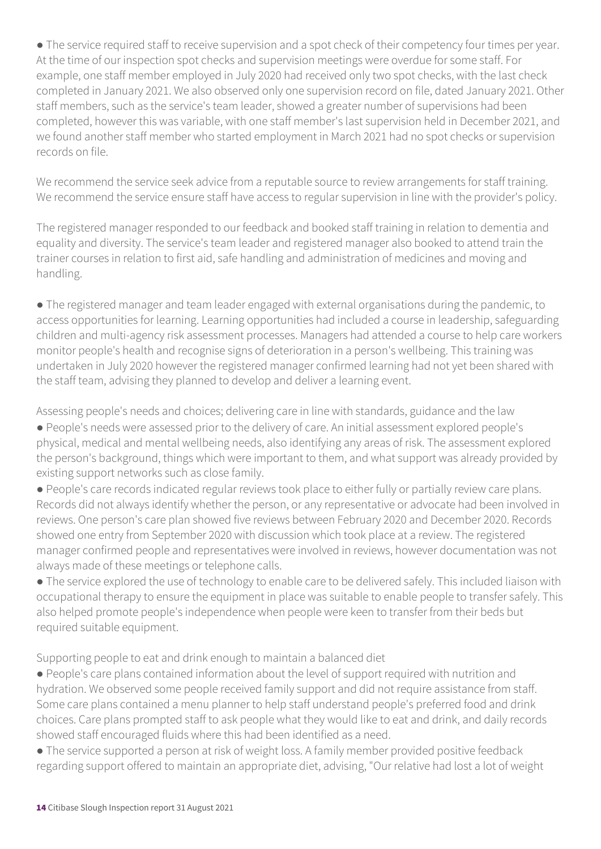● The service required staff to receive supervision and a spot check of their competency four times per year. At the time of our inspection spot checks and supervision meetings were overdue for some staff. For example, one staff member employed in July 2020 had received only two spot checks, with the last check completed in January 2021. We also observed only one supervision record on file, dated January 2021. Other staff members, such as the service's team leader, showed a greater number of supervisions had been completed, however this was variable, with one staff member's last supervision held in December 2021, and we found another staff member who started employment in March 2021 had no spot checks or supervision records on file.

We recommend the service seek advice from a reputable source to review arrangements for staff training. We recommend the service ensure staff have access to regular supervision in line with the provider's policy.

The registered manager responded to our feedback and booked staff training in relation to dementia and equality and diversity. The service's team leader and registered manager also booked to attend train the trainer courses in relation to first aid, safe handling and administration of medicines and moving and handling.

● The registered manager and team leader engaged with external organisations during the pandemic, to access opportunities for learning. Learning opportunities had included a course in leadership, safeguarding children and multi-agency risk assessment processes. Managers had attended a course to help care workers monitor people's health and recognise signs of deterioration in a person's wellbeing. This training was undertaken in July 2020 however the registered manager confirmed learning had not yet been shared with the staff team, advising they planned to develop and deliver a learning event.

Assessing people's needs and choices; delivering care in line with standards, guidance and the law

● People's needs were assessed prior to the delivery of care. An initial assessment explored people's physical, medical and mental wellbeing needs, also identifying any areas of risk. The assessment explored the person's background, things which were important to them, and what support was already provided by existing support networks such as close family.

● People's care records indicated regular reviews took place to either fully or partially review care plans. Records did not always identify whether the person, or any representative or advocate had been involved in reviews. One person's care plan showed five reviews between February 2020 and December 2020. Records showed one entry from September 2020 with discussion which took place at a review. The registered manager confirmed people and representatives were involved in reviews, however documentation was not always made of these meetings or telephone calls.

● The service explored the use of technology to enable care to be delivered safely. This included liaison with occupational therapy to ensure the equipment in place was suitable to enable people to transfer safely. This also helped promote people's independence when people were keen to transfer from their beds but required suitable equipment.

Supporting people to eat and drink enough to maintain a balanced diet

● People's care plans contained information about the level of support required with nutrition and hydration. We observed some people received family support and did not require assistance from staff. Some care plans contained a menu planner to help staff understand people's preferred food and drink choices. Care plans prompted staff to ask people what they would like to eat and drink, and daily records showed staff encouraged fluids where this had been identified as a need.

● The service supported a person at risk of weight loss. A family member provided positive feedback regarding support offered to maintain an appropriate diet, advising, "Our relative had lost a lot of weight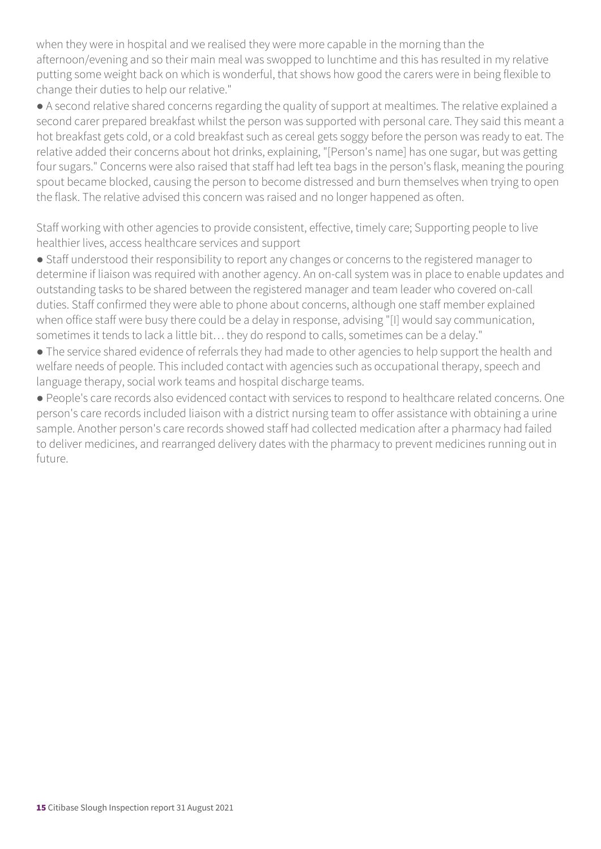when they were in hospital and we realised they were more capable in the morning than the afternoon/evening and so their main meal was swopped to lunchtime and this has resulted in my relative putting some weight back on which is wonderful, that shows how good the carers were in being flexible to change their duties to help our relative."

● A second relative shared concerns regarding the quality of support at mealtimes. The relative explained a second carer prepared breakfast whilst the person was supported with personal care. They said this meant a hot breakfast gets cold, or a cold breakfast such as cereal gets soggy before the person was ready to eat. The relative added their concerns about hot drinks, explaining, "[Person's name] has one sugar, but was getting four sugars." Concerns were also raised that staff had left tea bags in the person's flask, meaning the pouring spout became blocked, causing the person to become distressed and burn themselves when trying to open the flask. The relative advised this concern was raised and no longer happened as often.

Staff working with other agencies to provide consistent, effective, timely care; Supporting people to live healthier lives, access healthcare services and support

● Staff understood their responsibility to report any changes or concerns to the registered manager to determine if liaison was required with another agency. An on-call system was in place to enable updates and outstanding tasks to be shared between the registered manager and team leader who covered on-call duties. Staff confirmed they were able to phone about concerns, although one staff member explained when office staff were busy there could be a delay in response, advising "[I] would say communication, sometimes it tends to lack a little bit… they do respond to calls, sometimes can be a delay."

● The service shared evidence of referrals they had made to other agencies to help support the health and welfare needs of people. This included contact with agencies such as occupational therapy, speech and language therapy, social work teams and hospital discharge teams.

● People's care records also evidenced contact with services to respond to healthcare related concerns. One person's care records included liaison with a district nursing team to offer assistance with obtaining a urine sample. Another person's care records showed staff had collected medication after a pharmacy had failed to deliver medicines, and rearranged delivery dates with the pharmacy to prevent medicines running out in future.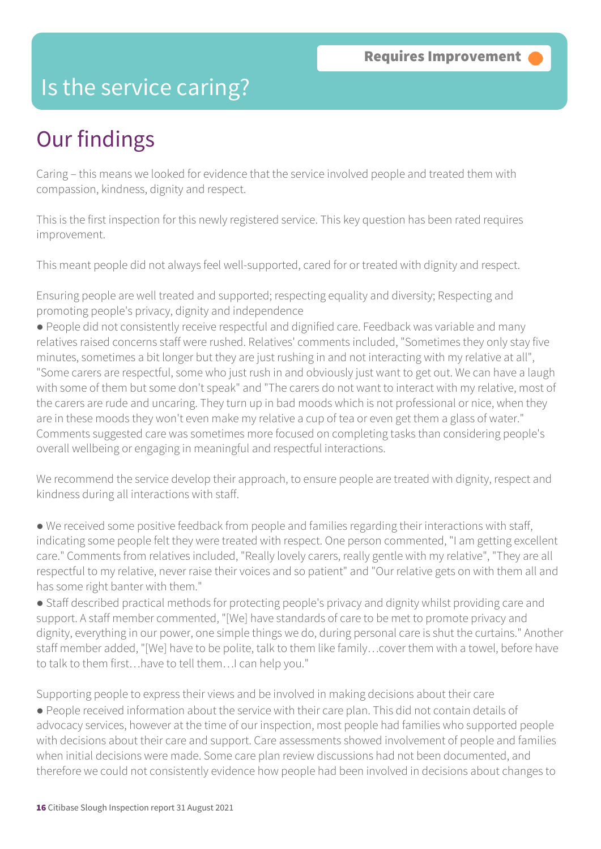### Is the service caring?

# Our findings

Caring – this means we looked for evidence that the service involved people and treated them with compassion, kindness, dignity and respect.

This is the first inspection for this newly registered service. This key question has been rated requires improvement.

This meant people did not always feel well-supported, cared for or treated with dignity and respect.

Ensuring people are well treated and supported; respecting equality and diversity; Respecting and promoting people's privacy, dignity and independence

● People did not consistently receive respectful and dignified care. Feedback was variable and many relatives raised concerns staff were rushed. Relatives' comments included, "Sometimes they only stay five minutes, sometimes a bit longer but they are just rushing in and not interacting with my relative at all", "Some carers are respectful, some who just rush in and obviously just want to get out. We can have a laugh with some of them but some don't speak" and "The carers do not want to interact with my relative, most of the carers are rude and uncaring. They turn up in bad moods which is not professional or nice, when they are in these moods they won't even make my relative a cup of tea or even get them a glass of water." Comments suggested care was sometimes more focused on completing tasks than considering people's overall wellbeing or engaging in meaningful and respectful interactions.

We recommend the service develop their approach, to ensure people are treated with dignity, respect and kindness during all interactions with staff.

● We received some positive feedback from people and families regarding their interactions with staff, indicating some people felt they were treated with respect. One person commented, "I am getting excellent care." Comments from relatives included, "Really lovely carers, really gentle with my relative", "They are all respectful to my relative, never raise their voices and so patient" and "Our relative gets on with them all and has some right banter with them."

● Staff described practical methods for protecting people's privacy and dignity whilst providing care and support. A staff member commented, "[We] have standards of care to be met to promote privacy and dignity, everything in our power, one simple things we do, during personal care is shut the curtains." Another staff member added, "[We] have to be polite, talk to them like family…cover them with a towel, before have to talk to them first…have to tell them…I can help you."

Supporting people to express their views and be involved in making decisions about their care

● People received information about the service with their care plan. This did not contain details of advocacy services, however at the time of our inspection, most people had families who supported people with decisions about their care and support. Care assessments showed involvement of people and families when initial decisions were made. Some care plan review discussions had not been documented, and therefore we could not consistently evidence how people had been involved in decisions about changes to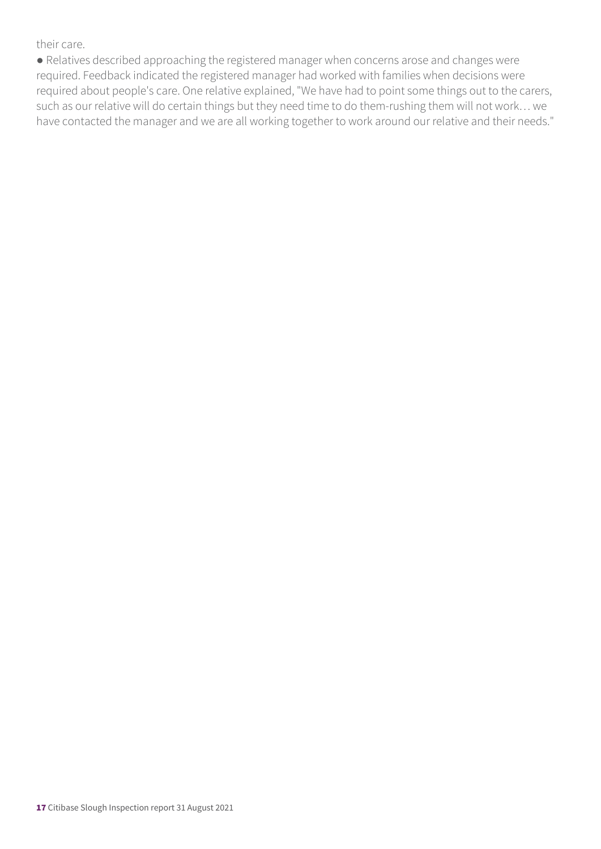their care.

● Relatives described approaching the registered manager when concerns arose and changes were required. Feedback indicated the registered manager had worked with families when decisions were required about people's care. One relative explained, "We have had to point some things out to the carers, such as our relative will do certain things but they need time to do them-rushing them will not work… we have contacted the manager and we are all working together to work around our relative and their needs."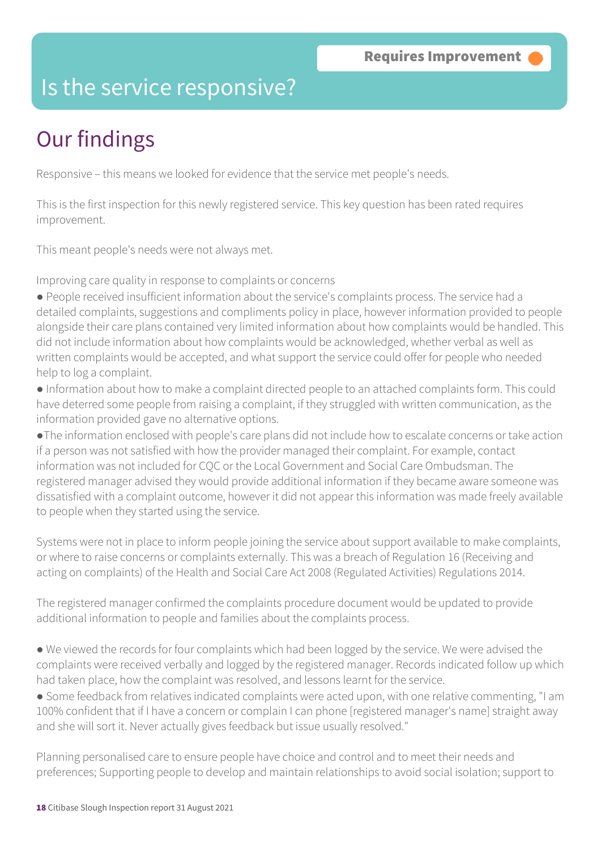### Is the service responsive?

# Our findings

Responsive – this means we looked for evidence that the service met people's needs.

This is the first inspection for this newly registered service. This key question has been rated requires improvement.

This meant people's needs were not always met.

Improving care quality in response to complaints or concerns

● People received insufficient information about the service's complaints process. The service had a detailed complaints, suggestions and compliments policy in place, however information provided to people alongside their care plans contained very limited information about how complaints would be handled. This did not include information about how complaints would be acknowledged, whether verbal as well as written complaints would be accepted, and what support the service could offer for people who needed help to log a complaint.

● Information about how to make a complaint directed people to an attached complaints form. This could have deterred some people from raising a complaint, if they struggled with written communication, as the information provided gave no alternative options.

●The information enclosed with people's care plans did not include how to escalate concerns or take action if a person was not satisfied with how the provider managed their complaint. For example, contact information was not included for CQC or the Local Government and Social Care Ombudsman. The registered manager advised they would provide additional information if they became aware someone was dissatisfied with a complaint outcome, however it did not appear this information was made freely available to people when they started using the service.

Systems were not in place to inform people joining the service about support available to make complaints, or where to raise concerns or complaints externally. This was a breach of Regulation 16 (Receiving and acting on complaints) of the Health and Social Care Act 2008 (Regulated Activities) Regulations 2014.

The registered manager confirmed the complaints procedure document would be updated to provide additional information to people and families about the complaints process.

● We viewed the records for four complaints which had been logged by the service. We were advised the complaints were received verbally and logged by the registered manager. Records indicated follow up which had taken place, how the complaint was resolved, and lessons learnt for the service.

● Some feedback from relatives indicated complaints were acted upon, with one relative commenting, "I am 100% confident that if I have a concern or complain I can phone [registered manager's name] straight away and she will sort it. Never actually gives feedback but issue usually resolved."

Planning personalised care to ensure people have choice and control and to meet their needs and preferences; Supporting people to develop and maintain relationships to avoid social isolation; support to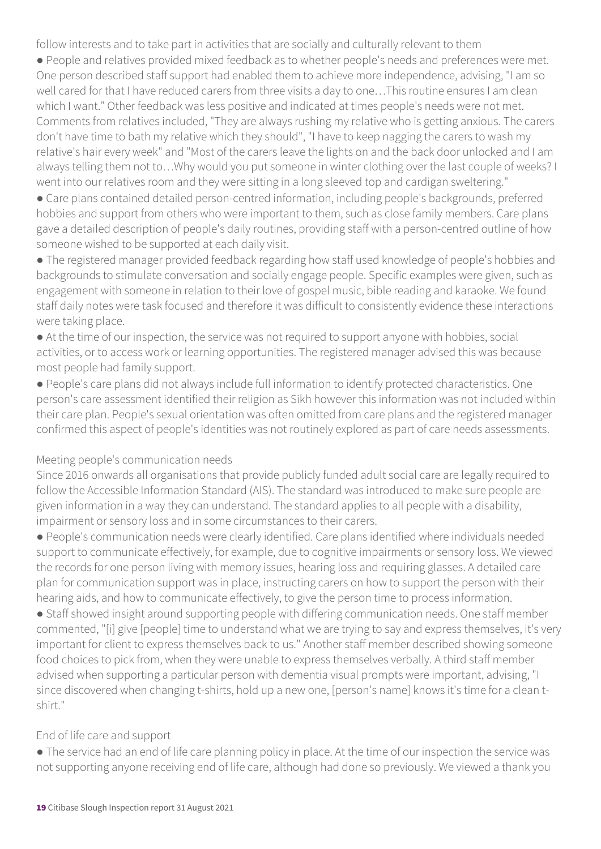follow interests and to take part in activities that are socially and culturally relevant to them

● People and relatives provided mixed feedback as to whether people's needs and preferences were met. One person described staff support had enabled them to achieve more independence, advising, "I am so well cared for that I have reduced carers from three visits a day to one…This routine ensures I am clean which I want." Other feedback was less positive and indicated at times people's needs were not met. Comments from relatives included, "They are always rushing my relative who is getting anxious. The carers don't have time to bath my relative which they should", "I have to keep nagging the carers to wash my relative's hair every week" and "Most of the carers leave the lights on and the back door unlocked and I am always telling them not to…Why would you put someone in winter clothing over the last couple of weeks? I went into our relatives room and they were sitting in a long sleeved top and cardigan sweltering."

● Care plans contained detailed person-centred information, including people's backgrounds, preferred hobbies and support from others who were important to them, such as close family members. Care plans gave a detailed description of people's daily routines, providing staff with a person-centred outline of how someone wished to be supported at each daily visit.

● The registered manager provided feedback regarding how staff used knowledge of people's hobbies and backgrounds to stimulate conversation and socially engage people. Specific examples were given, such as engagement with someone in relation to their love of gospel music, bible reading and karaoke. We found staff daily notes were task focused and therefore it was difficult to consistently evidence these interactions were taking place.

● At the time of our inspection, the service was not required to support anyone with hobbies, social activities, or to access work or learning opportunities. The registered manager advised this was because most people had family support.

● People's care plans did not always include full information to identify protected characteristics. One person's care assessment identified their religion as Sikh however this information was not included within their care plan. People's sexual orientation was often omitted from care plans and the registered manager confirmed this aspect of people's identities was not routinely explored as part of care needs assessments.

### Meeting people's communication needs

Since 2016 onwards all organisations that provide publicly funded adult social care are legally required to follow the Accessible Information Standard (AIS). The standard was introduced to make sure people are given information in a way they can understand. The standard applies to all people with a disability, impairment or sensory loss and in some circumstances to their carers.

● People's communication needs were clearly identified. Care plans identified where individuals needed support to communicate effectively, for example, due to cognitive impairments or sensory loss. We viewed the records for one person living with memory issues, hearing loss and requiring glasses. A detailed care plan for communication support was in place, instructing carers on how to support the person with their hearing aids, and how to communicate effectively, to give the person time to process information.

● Staff showed insight around supporting people with differing communication needs. One staff member commented, "[i] give [people] time to understand what we are trying to say and express themselves, it's very important for client to express themselves back to us." Another staff member described showing someone food choices to pick from, when they were unable to express themselves verbally. A third staff member advised when supporting a particular person with dementia visual prompts were important, advising, "I since discovered when changing t-shirts, hold up a new one, [person's name] knows it's time for a clean tshirt."

#### End of life care and support

● The service had an end of life care planning policy in place. At the time of our inspection the service was not supporting anyone receiving end of life care, although had done so previously. We viewed a thank you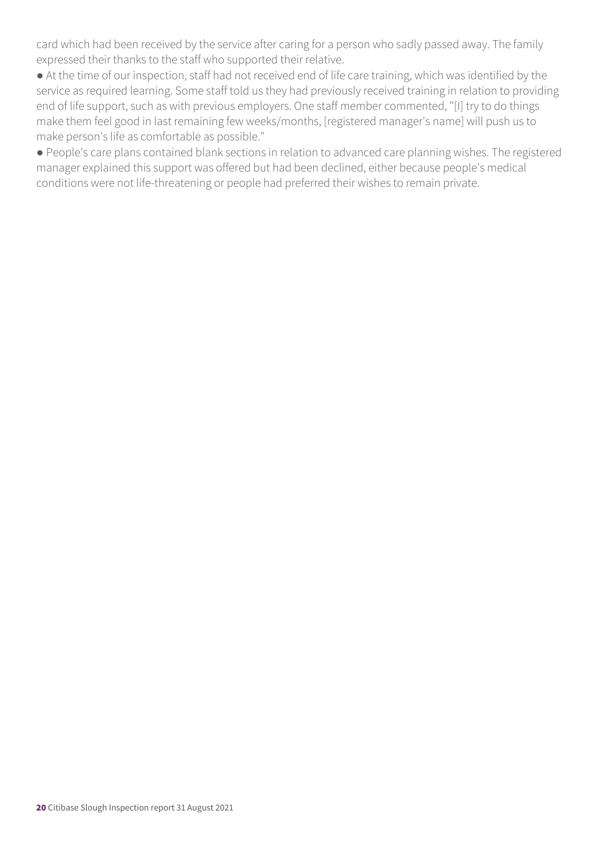card which had been received by the service after caring for a person who sadly passed away. The family expressed their thanks to the staff who supported their relative.

● At the time of our inspection, staff had not received end of life care training, which was identified by the service as required learning. Some staff told us they had previously received training in relation to providing end of life support, such as with previous employers. One staff member commented, "[I] try to do things make them feel good in last remaining few weeks/months, [registered manager's name] will push us to make person's life as comfortable as possible."

● People's care plans contained blank sections in relation to advanced care planning wishes. The registered manager explained this support was offered but had been declined, either because people's medical conditions were not life-threatening or people had preferred their wishes to remain private.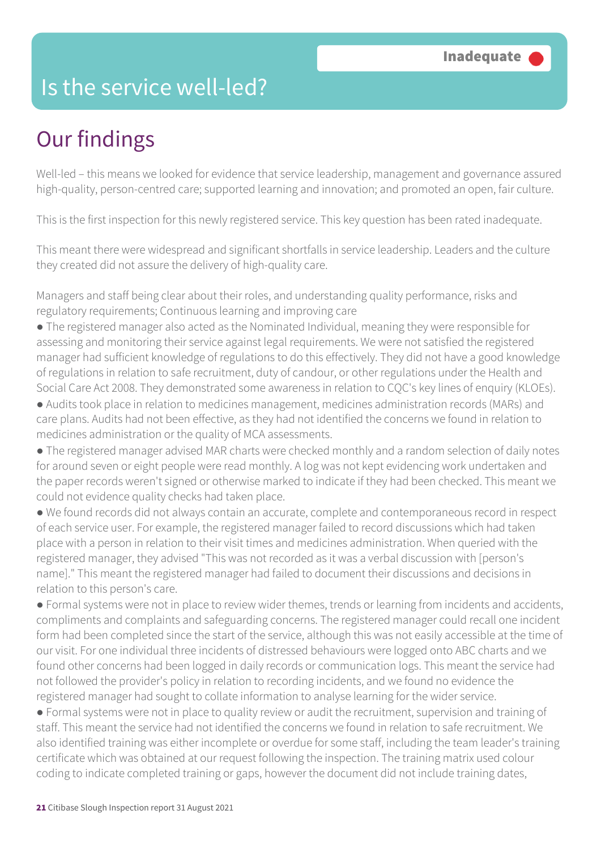### Is the service well-led?

# Our findings

Well-led – this means we looked for evidence that service leadership, management and governance assured high-quality, person-centred care; supported learning and innovation; and promoted an open, fair culture.

This is the first inspection for this newly registered service. This key question has been rated inadequate.

This meant there were widespread and significant shortfalls in service leadership. Leaders and the culture they created did not assure the delivery of high-quality care.

Managers and staff being clear about their roles, and understanding quality performance, risks and regulatory requirements; Continuous learning and improving care

- The registered manager also acted as the Nominated Individual, meaning they were responsible for assessing and monitoring their service against legal requirements. We were not satisfied the registered manager had sufficient knowledge of regulations to do this effectively. They did not have a good knowledge of regulations in relation to safe recruitment, duty of candour, or other regulations under the Health and Social Care Act 2008. They demonstrated some awareness in relation to CQC's key lines of enquiry (KLOEs).
- Audits took place in relation to medicines management, medicines administration records (MARs) and care plans. Audits had not been effective, as they had not identified the concerns we found in relation to medicines administration or the quality of MCA assessments.
- The registered manager advised MAR charts were checked monthly and a random selection of daily notes for around seven or eight people were read monthly. A log was not kept evidencing work undertaken and the paper records weren't signed or otherwise marked to indicate if they had been checked. This meant we could not evidence quality checks had taken place.
- We found records did not always contain an accurate, complete and contemporaneous record in respect of each service user. For example, the registered manager failed to record discussions which had taken place with a person in relation to their visit times and medicines administration. When queried with the registered manager, they advised "This was not recorded as it was a verbal discussion with [person's name]." This meant the registered manager had failed to document their discussions and decisions in relation to this person's care.
- Formal systems were not in place to review wider themes, trends or learning from incidents and accidents, compliments and complaints and safeguarding concerns. The registered manager could recall one incident form had been completed since the start of the service, although this was not easily accessible at the time of our visit. For one individual three incidents of distressed behaviours were logged onto ABC charts and we found other concerns had been logged in daily records or communication logs. This meant the service had not followed the provider's policy in relation to recording incidents, and we found no evidence the registered manager had sought to collate information to analyse learning for the wider service.
- Formal systems were not in place to quality review or audit the recruitment, supervision and training of staff. This meant the service had not identified the concerns we found in relation to safe recruitment. We also identified training was either incomplete or overdue for some staff, including the team leader's training certificate which was obtained at our request following the inspection. The training matrix used colour coding to indicate completed training or gaps, however the document did not include training dates,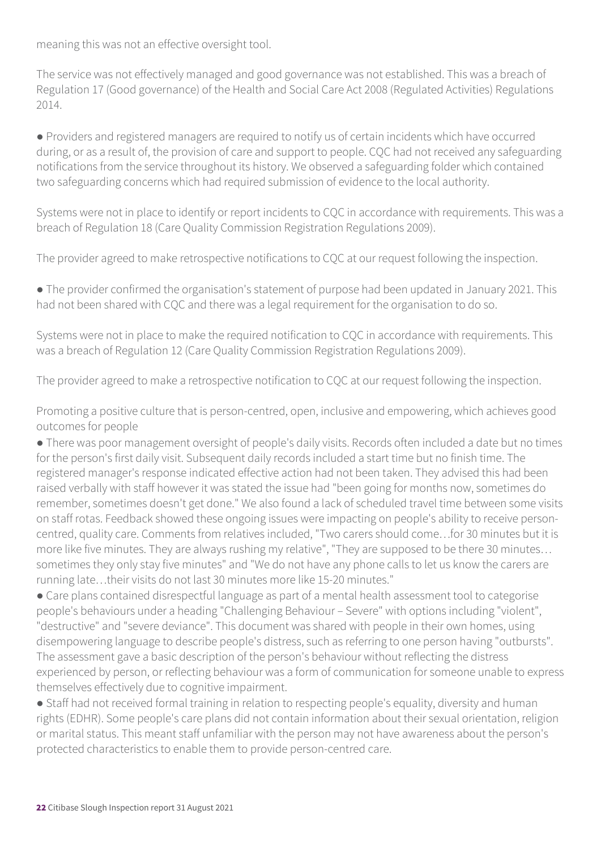meaning this was not an effective oversight tool.

The service was not effectively managed and good governance was not established. This was a breach of Regulation 17 (Good governance) of the Health and Social Care Act 2008 (Regulated Activities) Regulations 2014.

● Providers and registered managers are required to notify us of certain incidents which have occurred during, or as a result of, the provision of care and support to people. CQC had not received any safeguarding notifications from the service throughout its history. We observed a safeguarding folder which contained two safeguarding concerns which had required submission of evidence to the local authority.

Systems were not in place to identify or report incidents to CQC in accordance with requirements. This was a breach of Regulation 18 (Care Quality Commission Registration Regulations 2009).

The provider agreed to make retrospective notifications to CQC at our request following the inspection.

● The provider confirmed the organisation's statement of purpose had been updated in January 2021. This had not been shared with CQC and there was a legal requirement for the organisation to do so.

Systems were not in place to make the required notification to CQC in accordance with requirements. This was a breach of Regulation 12 (Care Quality Commission Registration Regulations 2009).

The provider agreed to make a retrospective notification to CQC at our request following the inspection.

Promoting a positive culture that is person-centred, open, inclusive and empowering, which achieves good outcomes for people

● There was poor management oversight of people's daily visits. Records often included a date but no times for the person's first daily visit. Subsequent daily records included a start time but no finish time. The registered manager's response indicated effective action had not been taken. They advised this had been raised verbally with staff however it was stated the issue had "been going for months now, sometimes do remember, sometimes doesn't get done." We also found a lack of scheduled travel time between some visits on staff rotas. Feedback showed these ongoing issues were impacting on people's ability to receive personcentred, quality care. Comments from relatives included, "Two carers should come…for 30 minutes but it is more like five minutes. They are always rushing my relative", "They are supposed to be there 30 minutes… sometimes they only stay five minutes" and "We do not have any phone calls to let us know the carers are running late…their visits do not last 30 minutes more like 15-20 minutes."

● Care plans contained disrespectful language as part of a mental health assessment tool to categorise people's behaviours under a heading "Challenging Behaviour – Severe" with options including "violent", "destructive" and "severe deviance". This document was shared with people in their own homes, using disempowering language to describe people's distress, such as referring to one person having "outbursts". The assessment gave a basic description of the person's behaviour without reflecting the distress experienced by person, or reflecting behaviour was a form of communication for someone unable to express themselves effectively due to cognitive impairment.

● Staff had not received formal training in relation to respecting people's equality, diversity and human rights (EDHR). Some people's care plans did not contain information about their sexual orientation, religion or marital status. This meant staff unfamiliar with the person may not have awareness about the person's protected characteristics to enable them to provide person-centred care.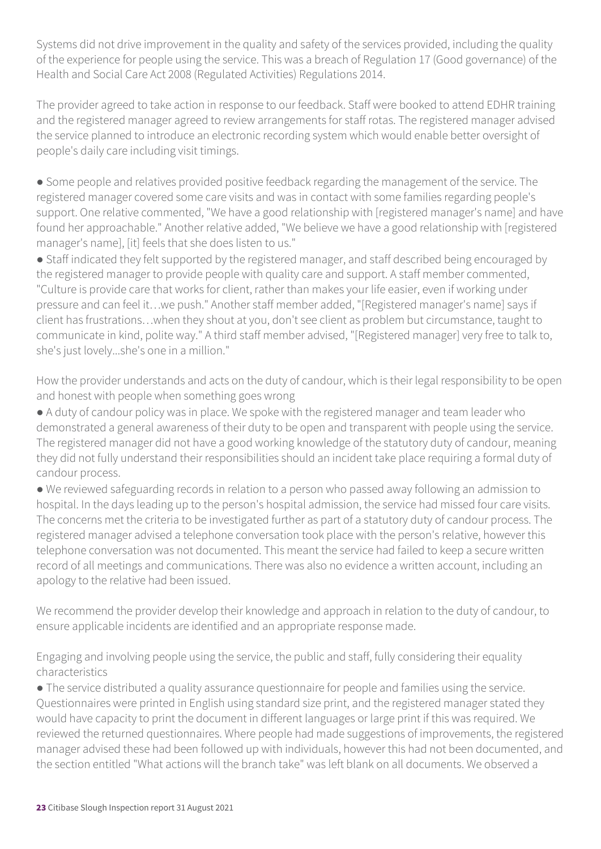Systems did not drive improvement in the quality and safety of the services provided, including the quality of the experience for people using the service. This was a breach of Regulation 17 (Good governance) of the Health and Social Care Act 2008 (Regulated Activities) Regulations 2014.

The provider agreed to take action in response to our feedback. Staff were booked to attend EDHR training and the registered manager agreed to review arrangements for staff rotas. The registered manager advised the service planned to introduce an electronic recording system which would enable better oversight of people's daily care including visit timings.

● Some people and relatives provided positive feedback regarding the management of the service. The registered manager covered some care visits and was in contact with some families regarding people's support. One relative commented, "We have a good relationship with [registered manager's name] and have found her approachable." Another relative added, "We believe we have a good relationship with [registered manager's name], [it] feels that she does listen to us."

● Staff indicated they felt supported by the registered manager, and staff described being encouraged by the registered manager to provide people with quality care and support. A staff member commented, "Culture is provide care that works for client, rather than makes your life easier, even if working under pressure and can feel it…we push." Another staff member added, "[Registered manager's name] says if client has frustrations…when they shout at you, don't see client as problem but circumstance, taught to communicate in kind, polite way." A third staff member advised, "[Registered manager] very free to talk to, she's just lovely...she's one in a million."

How the provider understands and acts on the duty of candour, which is their legal responsibility to be open and honest with people when something goes wrong

● A duty of candour policy was in place. We spoke with the registered manager and team leader who demonstrated a general awareness of their duty to be open and transparent with people using the service. The registered manager did not have a good working knowledge of the statutory duty of candour, meaning they did not fully understand their responsibilities should an incident take place requiring a formal duty of candour process.

● We reviewed safeguarding records in relation to a person who passed away following an admission to hospital. In the days leading up to the person's hospital admission, the service had missed four care visits. The concerns met the criteria to be investigated further as part of a statutory duty of candour process. The registered manager advised a telephone conversation took place with the person's relative, however this telephone conversation was not documented. This meant the service had failed to keep a secure written record of all meetings and communications. There was also no evidence a written account, including an apology to the relative had been issued.

We recommend the provider develop their knowledge and approach in relation to the duty of candour, to ensure applicable incidents are identified and an appropriate response made.

Engaging and involving people using the service, the public and staff, fully considering their equality characteristics

● The service distributed a quality assurance questionnaire for people and families using the service. Questionnaires were printed in English using standard size print, and the registered manager stated they would have capacity to print the document in different languages or large print if this was required. We reviewed the returned questionnaires. Where people had made suggestions of improvements, the registered manager advised these had been followed up with individuals, however this had not been documented, and the section entitled "What actions will the branch take" was left blank on all documents. We observed a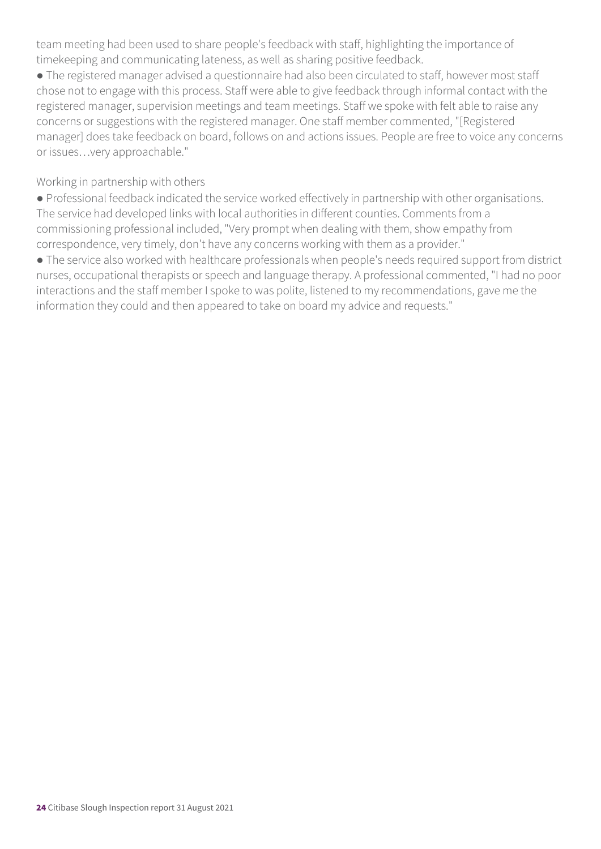team meeting had been used to share people's feedback with staff, highlighting the importance of timekeeping and communicating lateness, as well as sharing positive feedback.

● The registered manager advised a questionnaire had also been circulated to staff, however most staff chose not to engage with this process. Staff were able to give feedback through informal contact with the registered manager, supervision meetings and team meetings. Staff we spoke with felt able to raise any concerns or suggestions with the registered manager. One staff member commented, "[Registered manager] does take feedback on board, follows on and actions issues. People are free to voice any concerns or issues…very approachable."

Working in partnership with others

● Professional feedback indicated the service worked effectively in partnership with other organisations. The service had developed links with local authorities in different counties. Comments from a commissioning professional included, "Very prompt when dealing with them, show empathy from correspondence, very timely, don't have any concerns working with them as a provider."

● The service also worked with healthcare professionals when people's needs required support from district nurses, occupational therapists or speech and language therapy. A professional commented, "I had no poor interactions and the staff member I spoke to was polite, listened to my recommendations, gave me the information they could and then appeared to take on board my advice and requests."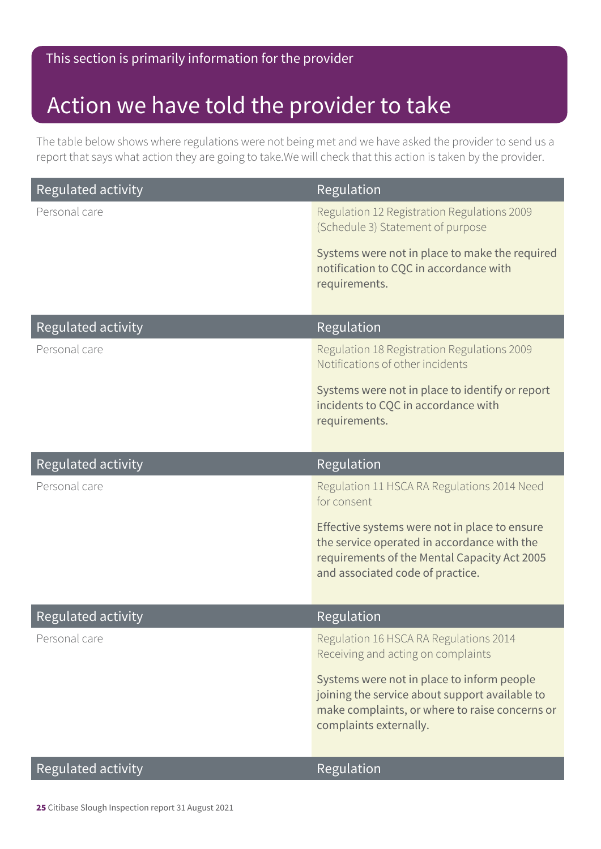### This section is primarily information for the provider

### Action we have told the provider to take

The table below shows where regulations were not being met and we have asked the provider to send us a report that says what action they are going to take.We will check that this action is taken by the provider.

| <b>Regulated activity</b> | Regulation                                                                                                                                                                       |
|---------------------------|----------------------------------------------------------------------------------------------------------------------------------------------------------------------------------|
| Personal care             | Regulation 12 Registration Regulations 2009<br>(Schedule 3) Statement of purpose                                                                                                 |
|                           | Systems were not in place to make the required<br>notification to CQC in accordance with<br>requirements.                                                                        |
| <b>Regulated activity</b> | Regulation                                                                                                                                                                       |
| Personal care             | Regulation 18 Registration Regulations 2009<br>Notifications of other incidents                                                                                                  |
|                           | Systems were not in place to identify or report<br>incidents to CQC in accordance with<br>requirements.                                                                          |
| <b>Regulated activity</b> | Regulation                                                                                                                                                                       |
| Personal care             | Regulation 11 HSCA RA Regulations 2014 Need<br>for consent                                                                                                                       |
|                           | Effective systems were not in place to ensure<br>the service operated in accordance with the<br>requirements of the Mental Capacity Act 2005<br>and associated code of practice. |
| <b>Regulated activity</b> | Regulation                                                                                                                                                                       |
| Personal care             | Regulation 16 HSCA RA Regulations 2014<br>Receiving and acting on complaints                                                                                                     |
|                           | Systems were not in place to inform people<br>joining the service about support available to<br>make complaints, or where to raise concerns or<br>complaints externally.         |
| Regulated activity        | Regulation                                                                                                                                                                       |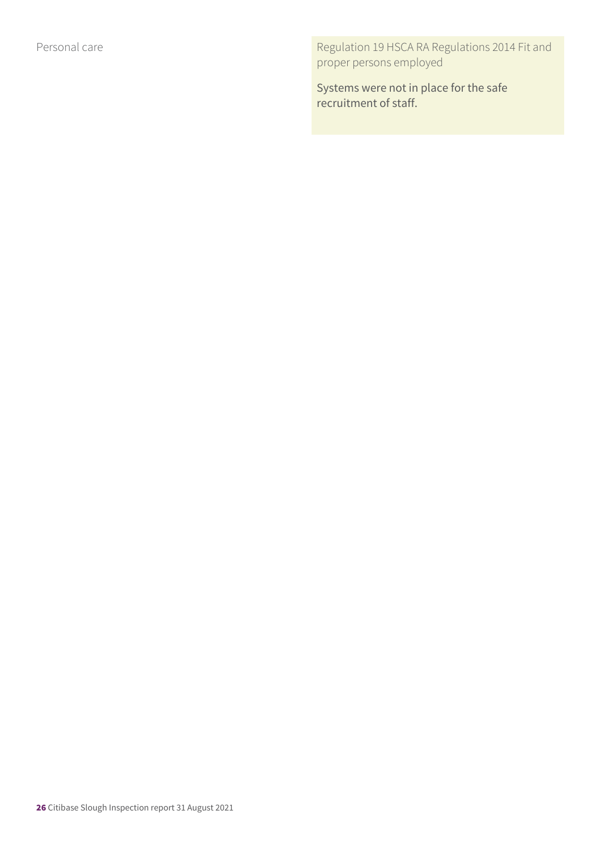Personal care **Regulation 19 HSCA RA Regulations 2014 Fit and** proper persons employed

> Systems were not in place for the safe recruitment of staff.